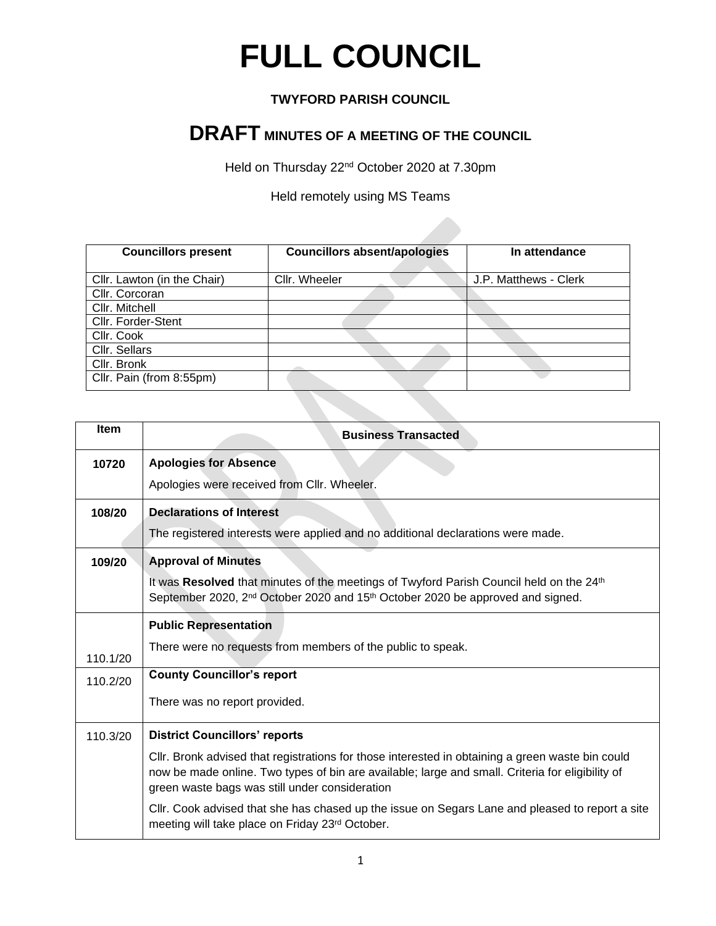## **FULL COUNCIL**

## **TWYFORD PARISH COUNCIL**

## **DRAFT MINUTES OF A MEETING OF THE COUNCIL**

Held on Thursday 22nd October 2020 at 7.30pm

Held remotely using MS Teams

| <b>Councillors present</b>  | <b>Councillors absent/apologies</b> | In attendance         |
|-----------------------------|-------------------------------------|-----------------------|
| Cllr. Lawton (in the Chair) | Cllr. Wheeler                       | J.P. Matthews - Clerk |
| Cllr. Corcoran              |                                     |                       |
| Cllr. Mitchell              |                                     |                       |
| Cllr. Forder-Stent          |                                     |                       |
| Cllr. Cook                  |                                     |                       |
| Cllr. Sellars               |                                     |                       |
| Cllr. Bronk                 |                                     |                       |
| Cllr. Pain (from 8:55pm)    |                                     |                       |

| Item     | <b>Business Transacted</b>                                                                                                                                                                                                                             |
|----------|--------------------------------------------------------------------------------------------------------------------------------------------------------------------------------------------------------------------------------------------------------|
| 10720    | <b>Apologies for Absence</b>                                                                                                                                                                                                                           |
|          | Apologies were received from Cllr. Wheeler.                                                                                                                                                                                                            |
| 108/20   | <b>Declarations of Interest</b>                                                                                                                                                                                                                        |
|          | The registered interests were applied and no additional declarations were made.                                                                                                                                                                        |
| 109/20   | <b>Approval of Minutes</b>                                                                                                                                                                                                                             |
|          | It was Resolved that minutes of the meetings of Twyford Parish Council held on the 24 <sup>th</sup><br>September 2020, 2 <sup>nd</sup> October 2020 and 15 <sup>th</sup> October 2020 be approved and signed.                                          |
|          | <b>Public Representation</b>                                                                                                                                                                                                                           |
| 110.1/20 | There were no requests from members of the public to speak.                                                                                                                                                                                            |
| 110.2/20 | <b>County Councillor's report</b>                                                                                                                                                                                                                      |
|          | There was no report provided.                                                                                                                                                                                                                          |
| 110.3/20 | <b>District Councillors' reports</b>                                                                                                                                                                                                                   |
|          | CIIr. Bronk advised that registrations for those interested in obtaining a green waste bin could<br>now be made online. Two types of bin are available; large and small. Criteria for eligibility of<br>green waste bags was still under consideration |
|          | CIIr. Cook advised that she has chased up the issue on Segars Lane and pleased to report a site<br>meeting will take place on Friday 23rd October.                                                                                                     |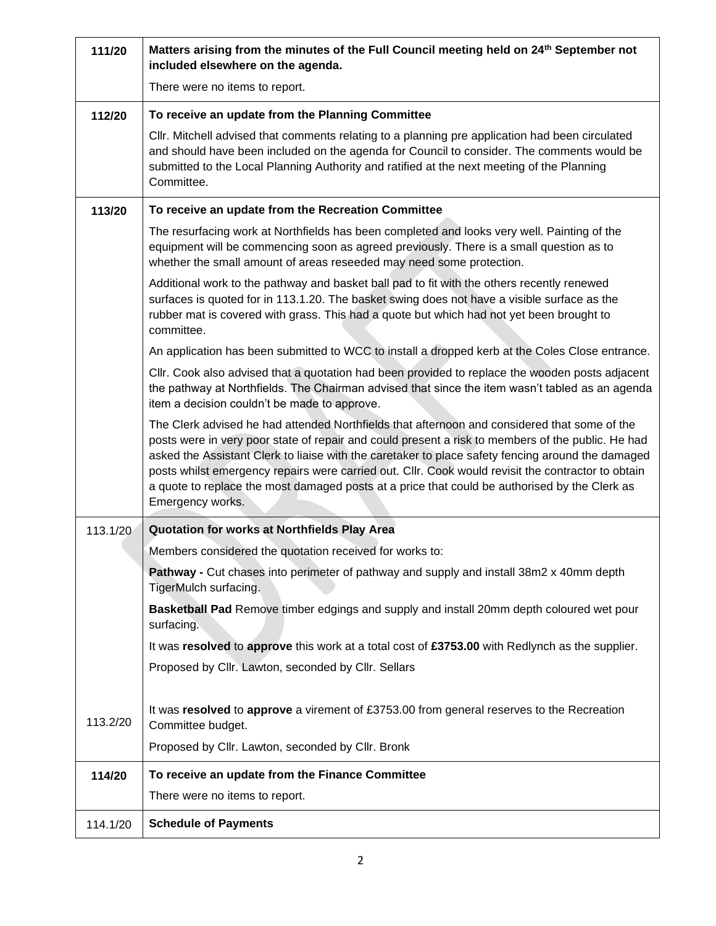| 111/20   | Matters arising from the minutes of the Full Council meeting held on 24 <sup>th</sup> September not<br>included elsewhere on the agenda.                                                                                                                                                                                                                                                                                                                                                                                          |
|----------|-----------------------------------------------------------------------------------------------------------------------------------------------------------------------------------------------------------------------------------------------------------------------------------------------------------------------------------------------------------------------------------------------------------------------------------------------------------------------------------------------------------------------------------|
|          | There were no items to report.                                                                                                                                                                                                                                                                                                                                                                                                                                                                                                    |
| 112/20   | To receive an update from the Planning Committee                                                                                                                                                                                                                                                                                                                                                                                                                                                                                  |
|          | CIIr. Mitchell advised that comments relating to a planning pre application had been circulated<br>and should have been included on the agenda for Council to consider. The comments would be<br>submitted to the Local Planning Authority and ratified at the next meeting of the Planning<br>Committee.                                                                                                                                                                                                                         |
| 113/20   | To receive an update from the Recreation Committee                                                                                                                                                                                                                                                                                                                                                                                                                                                                                |
|          | The resurfacing work at Northfields has been completed and looks very well. Painting of the<br>equipment will be commencing soon as agreed previously. There is a small question as to<br>whether the small amount of areas reseeded may need some protection.                                                                                                                                                                                                                                                                    |
|          | Additional work to the pathway and basket ball pad to fit with the others recently renewed<br>surfaces is quoted for in 113.1.20. The basket swing does not have a visible surface as the<br>rubber mat is covered with grass. This had a quote but which had not yet been brought to<br>committee.                                                                                                                                                                                                                               |
|          | An application has been submitted to WCC to install a dropped kerb at the Coles Close entrance.                                                                                                                                                                                                                                                                                                                                                                                                                                   |
|          | CIIr. Cook also advised that a quotation had been provided to replace the wooden posts adjacent<br>the pathway at Northfields. The Chairman advised that since the item wasn't tabled as an agenda<br>item a decision couldn't be made to approve.                                                                                                                                                                                                                                                                                |
|          | The Clerk advised he had attended Northfields that afternoon and considered that some of the<br>posts were in very poor state of repair and could present a risk to members of the public. He had<br>asked the Assistant Clerk to liaise with the caretaker to place safety fencing around the damaged<br>posts whilst emergency repairs were carried out. Cllr. Cook would revisit the contractor to obtain<br>a quote to replace the most damaged posts at a price that could be authorised by the Clerk as<br>Emergency works. |
| 113.1/20 | Quotation for works at Northfields Play Area                                                                                                                                                                                                                                                                                                                                                                                                                                                                                      |
|          | Members considered the quotation received for works to:                                                                                                                                                                                                                                                                                                                                                                                                                                                                           |
|          | Pathway - Cut chases into perimeter of pathway and supply and install 38m2 x 40mm depth<br>TigerMulch surfacing.                                                                                                                                                                                                                                                                                                                                                                                                                  |
|          | Basketball Pad Remove timber edgings and supply and install 20mm depth coloured wet pour<br>surfacing.                                                                                                                                                                                                                                                                                                                                                                                                                            |
|          | It was resolved to approve this work at a total cost of £3753.00 with Redlynch as the supplier.                                                                                                                                                                                                                                                                                                                                                                                                                                   |
|          | Proposed by Cllr. Lawton, seconded by Cllr. Sellars                                                                                                                                                                                                                                                                                                                                                                                                                                                                               |
| 113.2/20 | It was resolved to approve a virement of £3753.00 from general reserves to the Recreation<br>Committee budget.<br>Proposed by Cllr. Lawton, seconded by Cllr. Bronk                                                                                                                                                                                                                                                                                                                                                               |
| 114/20   | To receive an update from the Finance Committee                                                                                                                                                                                                                                                                                                                                                                                                                                                                                   |
|          | There were no items to report.                                                                                                                                                                                                                                                                                                                                                                                                                                                                                                    |
| 114.1/20 | <b>Schedule of Payments</b>                                                                                                                                                                                                                                                                                                                                                                                                                                                                                                       |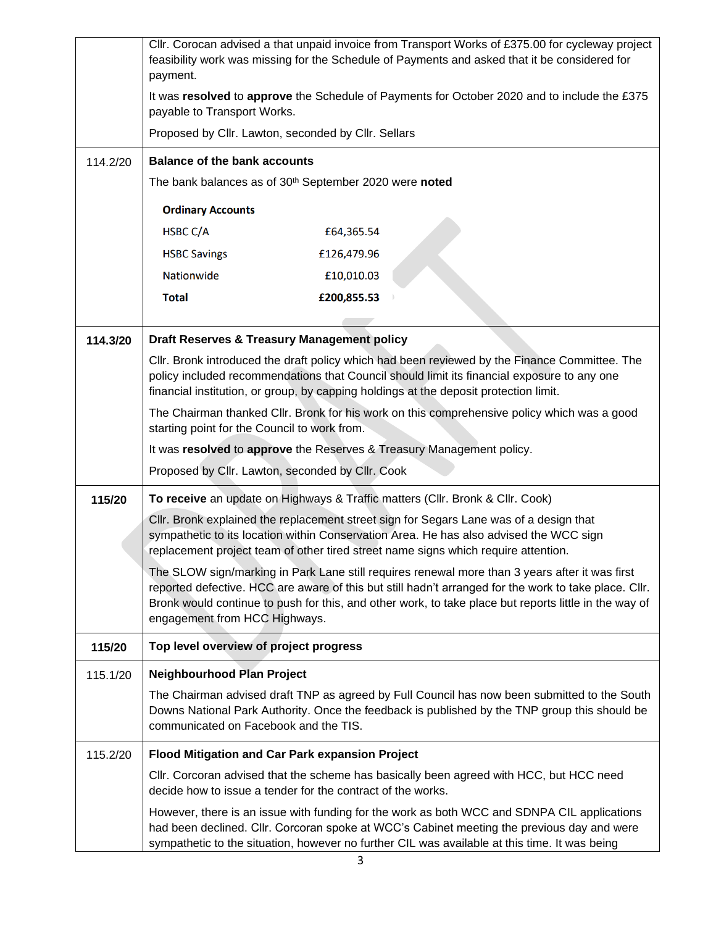|          | payment.                                                           | Cllr. Corocan advised a that unpaid invoice from Transport Works of £375.00 for cycleway project<br>feasibility work was missing for the Schedule of Payments and asked that it be considered for                                                                                                                |
|----------|--------------------------------------------------------------------|------------------------------------------------------------------------------------------------------------------------------------------------------------------------------------------------------------------------------------------------------------------------------------------------------------------|
|          | payable to Transport Works.                                        | It was resolved to approve the Schedule of Payments for October 2020 and to include the £375                                                                                                                                                                                                                     |
|          | Proposed by Cllr. Lawton, seconded by Cllr. Sellars                |                                                                                                                                                                                                                                                                                                                  |
| 114.2/20 | <b>Balance of the bank accounts</b>                                |                                                                                                                                                                                                                                                                                                                  |
|          | The bank balances as of 30 <sup>th</sup> September 2020 were noted |                                                                                                                                                                                                                                                                                                                  |
|          | <b>Ordinary Accounts</b>                                           |                                                                                                                                                                                                                                                                                                                  |
|          | HSBC C/A                                                           | £64,365.54                                                                                                                                                                                                                                                                                                       |
|          | <b>HSBC Savings</b>                                                | £126,479.96                                                                                                                                                                                                                                                                                                      |
|          | Nationwide                                                         | £10,010.03                                                                                                                                                                                                                                                                                                       |
|          | <b>Total</b>                                                       | £200,855.53                                                                                                                                                                                                                                                                                                      |
|          |                                                                    |                                                                                                                                                                                                                                                                                                                  |
| 114.3/20 | <b>Draft Reserves &amp; Treasury Management policy</b>             |                                                                                                                                                                                                                                                                                                                  |
|          |                                                                    | Cllr. Bronk introduced the draft policy which had been reviewed by the Finance Committee. The<br>policy included recommendations that Council should limit its financial exposure to any one<br>financial institution, or group, by capping holdings at the deposit protection limit.                            |
|          | starting point for the Council to work from.                       | The Chairman thanked Cllr. Bronk for his work on this comprehensive policy which was a good                                                                                                                                                                                                                      |
|          |                                                                    | It was resolved to approve the Reserves & Treasury Management policy.                                                                                                                                                                                                                                            |
|          | Proposed by Cllr. Lawton, seconded by Cllr. Cook                   |                                                                                                                                                                                                                                                                                                                  |
| 115/20   |                                                                    | To receive an update on Highways & Traffic matters (Cllr. Bronk & Cllr. Cook)                                                                                                                                                                                                                                    |
|          |                                                                    | Cllr. Bronk explained the replacement street sign for Segars Lane was of a design that<br>sympathetic to its location within Conservation Area. He has also advised the WCC sign<br>replacement project team of other tired street name signs which require attention.                                           |
|          | engagement from HCC Highways.                                      | The SLOW sign/marking in Park Lane still requires renewal more than 3 years after it was first<br>reported defective. HCC are aware of this but still hadn't arranged for the work to take place. Cllr.<br>Bronk would continue to push for this, and other work, to take place but reports little in the way of |
| 115/20   | Top level overview of project progress                             |                                                                                                                                                                                                                                                                                                                  |
| 115.1/20 | <b>Neighbourhood Plan Project</b>                                  |                                                                                                                                                                                                                                                                                                                  |
|          | communicated on Facebook and the TIS.                              | The Chairman advised draft TNP as agreed by Full Council has now been submitted to the South<br>Downs National Park Authority. Once the feedback is published by the TNP group this should be                                                                                                                    |
| 115.2/20 | Flood Mitigation and Car Park expansion Project                    |                                                                                                                                                                                                                                                                                                                  |
|          | decide how to issue a tender for the contract of the works.        | CIIr. Corcoran advised that the scheme has basically been agreed with HCC, but HCC need                                                                                                                                                                                                                          |
|          |                                                                    | However, there is an issue with funding for the work as both WCC and SDNPA CIL applications<br>had been declined. Cllr. Corcoran spoke at WCC's Cabinet meeting the previous day and were<br>sympathetic to the situation, however no further CIL was available at this time. It was being                       |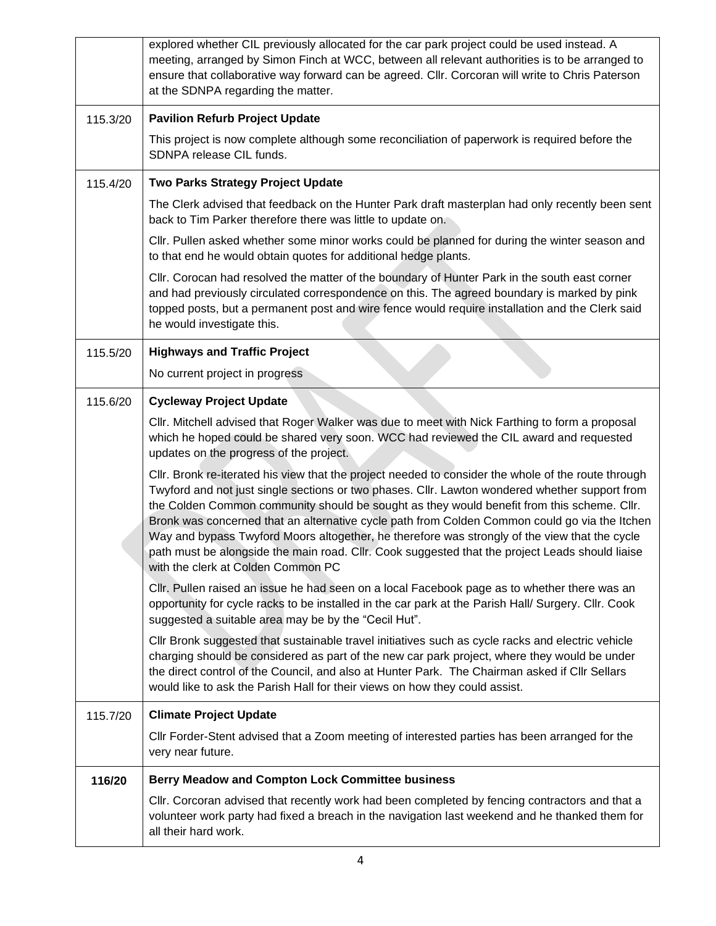|          | explored whether CIL previously allocated for the car park project could be used instead. A<br>meeting, arranged by Simon Finch at WCC, between all relevant authorities is to be arranged to<br>ensure that collaborative way forward can be agreed. Cllr. Corcoran will write to Chris Paterson<br>at the SDNPA regarding the matter.                                                                                                                                                                                                                                                                                                        |
|----------|------------------------------------------------------------------------------------------------------------------------------------------------------------------------------------------------------------------------------------------------------------------------------------------------------------------------------------------------------------------------------------------------------------------------------------------------------------------------------------------------------------------------------------------------------------------------------------------------------------------------------------------------|
| 115.3/20 | <b>Pavilion Refurb Project Update</b>                                                                                                                                                                                                                                                                                                                                                                                                                                                                                                                                                                                                          |
|          | This project is now complete although some reconciliation of paperwork is required before the<br>SDNPA release CIL funds.                                                                                                                                                                                                                                                                                                                                                                                                                                                                                                                      |
| 115.4/20 | Two Parks Strategy Project Update                                                                                                                                                                                                                                                                                                                                                                                                                                                                                                                                                                                                              |
|          | The Clerk advised that feedback on the Hunter Park draft masterplan had only recently been sent<br>back to Tim Parker therefore there was little to update on.                                                                                                                                                                                                                                                                                                                                                                                                                                                                                 |
|          | CIIr. Pullen asked whether some minor works could be planned for during the winter season and<br>to that end he would obtain quotes for additional hedge plants.                                                                                                                                                                                                                                                                                                                                                                                                                                                                               |
|          | Cllr. Corocan had resolved the matter of the boundary of Hunter Park in the south east corner<br>and had previously circulated correspondence on this. The agreed boundary is marked by pink<br>topped posts, but a permanent post and wire fence would require installation and the Clerk said<br>he would investigate this.                                                                                                                                                                                                                                                                                                                  |
| 115.5/20 | <b>Highways and Traffic Project</b>                                                                                                                                                                                                                                                                                                                                                                                                                                                                                                                                                                                                            |
|          | No current project in progress                                                                                                                                                                                                                                                                                                                                                                                                                                                                                                                                                                                                                 |
| 115.6/20 | <b>Cycleway Project Update</b>                                                                                                                                                                                                                                                                                                                                                                                                                                                                                                                                                                                                                 |
|          | CIIr. Mitchell advised that Roger Walker was due to meet with Nick Farthing to form a proposal<br>which he hoped could be shared very soon. WCC had reviewed the CIL award and requested<br>updates on the progress of the project.                                                                                                                                                                                                                                                                                                                                                                                                            |
|          | Cllr. Bronk re-iterated his view that the project needed to consider the whole of the route through<br>Twyford and not just single sections or two phases. Cllr. Lawton wondered whether support from<br>the Colden Common community should be sought as they would benefit from this scheme. Cllr.<br>Bronk was concerned that an alternative cycle path from Colden Common could go via the Itchen<br>Way and bypass Twyford Moors altogether, he therefore was strongly of the view that the cycle<br>path must be alongside the main road. Cllr. Cook suggested that the project Leads should liaise<br>with the clerk at Colden Common PC |
|          | Cllr. Pullen raised an issue he had seen on a local Facebook page as to whether there was an<br>opportunity for cycle racks to be installed in the car park at the Parish Hall/ Surgery. Cllr. Cook<br>suggested a suitable area may be by the "Cecil Hut".                                                                                                                                                                                                                                                                                                                                                                                    |
|          | CIIr Bronk suggested that sustainable travel initiatives such as cycle racks and electric vehicle<br>charging should be considered as part of the new car park project, where they would be under<br>the direct control of the Council, and also at Hunter Park. The Chairman asked if Cllr Sellars<br>would like to ask the Parish Hall for their views on how they could assist.                                                                                                                                                                                                                                                             |
| 115.7/20 | <b>Climate Project Update</b>                                                                                                                                                                                                                                                                                                                                                                                                                                                                                                                                                                                                                  |
|          | CIIr Forder-Stent advised that a Zoom meeting of interested parties has been arranged for the<br>very near future.                                                                                                                                                                                                                                                                                                                                                                                                                                                                                                                             |
| 116/20   | <b>Berry Meadow and Compton Lock Committee business</b>                                                                                                                                                                                                                                                                                                                                                                                                                                                                                                                                                                                        |
|          | CIIr. Corcoran advised that recently work had been completed by fencing contractors and that a<br>volunteer work party had fixed a breach in the navigation last weekend and he thanked them for<br>all their hard work.                                                                                                                                                                                                                                                                                                                                                                                                                       |
|          |                                                                                                                                                                                                                                                                                                                                                                                                                                                                                                                                                                                                                                                |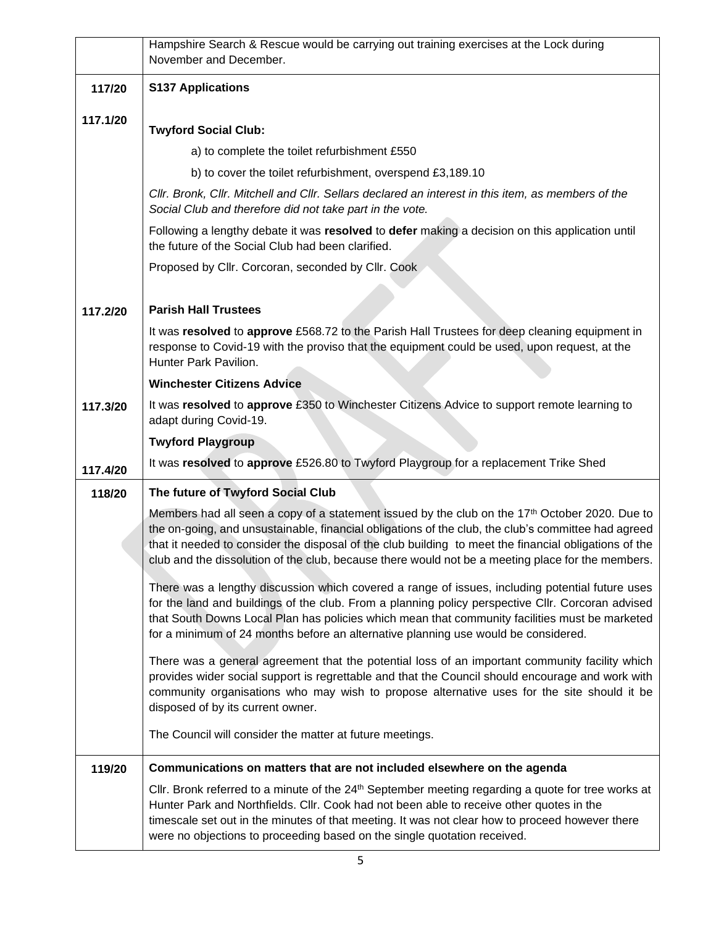|          | Hampshire Search & Rescue would be carrying out training exercises at the Lock during<br>November and December.                                                                                                                                                                                                                                                                                                       |
|----------|-----------------------------------------------------------------------------------------------------------------------------------------------------------------------------------------------------------------------------------------------------------------------------------------------------------------------------------------------------------------------------------------------------------------------|
| 117/20   | <b>S137 Applications</b>                                                                                                                                                                                                                                                                                                                                                                                              |
| 117.1/20 | <b>Twyford Social Club:</b>                                                                                                                                                                                                                                                                                                                                                                                           |
|          | a) to complete the toilet refurbishment £550                                                                                                                                                                                                                                                                                                                                                                          |
|          | b) to cover the toilet refurbishment, overspend £3,189.10                                                                                                                                                                                                                                                                                                                                                             |
|          | CIIr. Bronk, CIIr. Mitchell and CIIr. Sellars declared an interest in this item, as members of the<br>Social Club and therefore did not take part in the vote.                                                                                                                                                                                                                                                        |
|          | Following a lengthy debate it was resolved to defer making a decision on this application until<br>the future of the Social Club had been clarified.                                                                                                                                                                                                                                                                  |
|          | Proposed by Cllr. Corcoran, seconded by Cllr. Cook                                                                                                                                                                                                                                                                                                                                                                    |
|          |                                                                                                                                                                                                                                                                                                                                                                                                                       |
| 117.2/20 | <b>Parish Hall Trustees</b>                                                                                                                                                                                                                                                                                                                                                                                           |
|          | It was resolved to approve £568.72 to the Parish Hall Trustees for deep cleaning equipment in<br>response to Covid-19 with the proviso that the equipment could be used, upon request, at the<br>Hunter Park Pavilion.                                                                                                                                                                                                |
|          | <b>Winchester Citizens Advice</b>                                                                                                                                                                                                                                                                                                                                                                                     |
| 117.3/20 | It was resolved to approve £350 to Winchester Citizens Advice to support remote learning to<br>adapt during Covid-19.                                                                                                                                                                                                                                                                                                 |
|          | <b>Twyford Playgroup</b>                                                                                                                                                                                                                                                                                                                                                                                              |
| 117.4/20 | It was resolved to approve £526.80 to Twyford Playgroup for a replacement Trike Shed                                                                                                                                                                                                                                                                                                                                  |
| 118/20   | The future of Twyford Social Club                                                                                                                                                                                                                                                                                                                                                                                     |
|          | Members had all seen a copy of a statement issued by the club on the $17th$ October 2020. Due to<br>the on-going, and unsustainable, financial obligations of the club, the club's committee had agreed<br>that it needed to consider the disposal of the club building to meet the financial obligations of the<br>club and the dissolution of the club, because there would not be a meeting place for the members. |
|          | There was a lengthy discussion which covered a range of issues, including potential future uses<br>for the land and buildings of the club. From a planning policy perspective Cllr. Corcoran advised<br>that South Downs Local Plan has policies which mean that community facilities must be marketed<br>for a minimum of 24 months before an alternative planning use would be considered.                          |
|          | There was a general agreement that the potential loss of an important community facility which<br>provides wider social support is regrettable and that the Council should encourage and work with<br>community organisations who may wish to propose alternative uses for the site should it be<br>disposed of by its current owner.                                                                                 |
|          | The Council will consider the matter at future meetings.                                                                                                                                                                                                                                                                                                                                                              |
| 119/20   | Communications on matters that are not included elsewhere on the agenda                                                                                                                                                                                                                                                                                                                                               |
|          | CIIr. Bronk referred to a minute of the 24 <sup>th</sup> September meeting regarding a quote for tree works at<br>Hunter Park and Northfields. Cllr. Cook had not been able to receive other quotes in the<br>timescale set out in the minutes of that meeting. It was not clear how to proceed however there<br>were no objections to proceeding based on the single quotation received.                             |